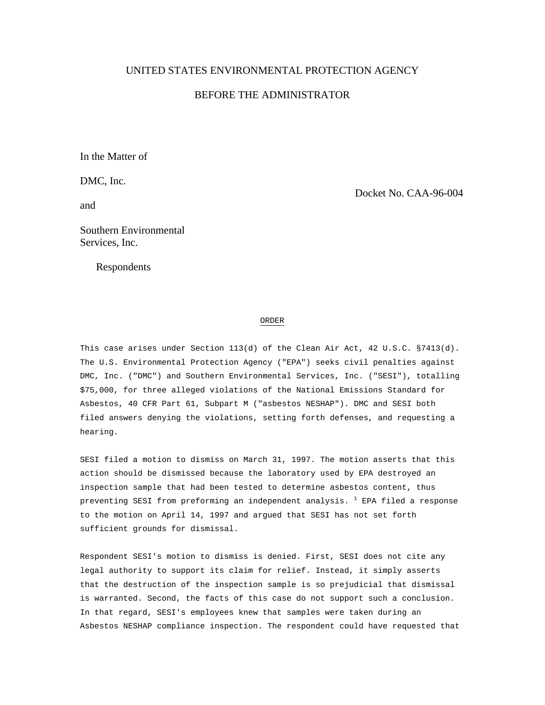## UNITED STATES ENVIRONMENTAL PROTECTION AGENCY

# BEFORE THE ADMINISTRATOR

In the Matter of

DMC, Inc.

and

Docket No. CAA-96-004

Southern Environmental Services, Inc.

Respondents

#### ORDER

This case arises under Section 113(d) of the Clean Air Act, 42 U.S.C. §7413(d). The U.S. Environmental Protection Agency ("EPA") seeks civil penalties against DMC, Inc. ("DMC") and Southern Environmental Services, Inc. ("SESI"), totalling \$75,000, for three alleged violations of the National Emissions Standard for Asbestos, 40 CFR Part 61, Subpart M ("asbestos NESHAP"). DMC and SESI both filed answers denying the violations, setting forth defenses, and requesting a hearing.

SESI filed a motion to dismiss on March 31, 1997. The motion asserts that this action should be dismissed because the laboratory used by EPA destroyed an inspection sample that had been tested to determine asbestos content, thus preventing SESI from preforming an independent analysis.  $^{\mathrm{1}}$  EPA filed a response to the motion on April 14, 1997 and argued that SESI has not set forth sufficient grounds for dismissal.

Respondent SESI's motion to dismiss is denied. First, SESI does not cite any legal authority to support its claim for relief. Instead, it simply asserts that the destruction of the inspection sample is so prejudicial that dismissal is warranted. Second, the facts of this case do not support such a conclusion. In that regard, SESI's employees knew that samples were taken during an Asbestos NESHAP compliance inspection. The respondent could have requested that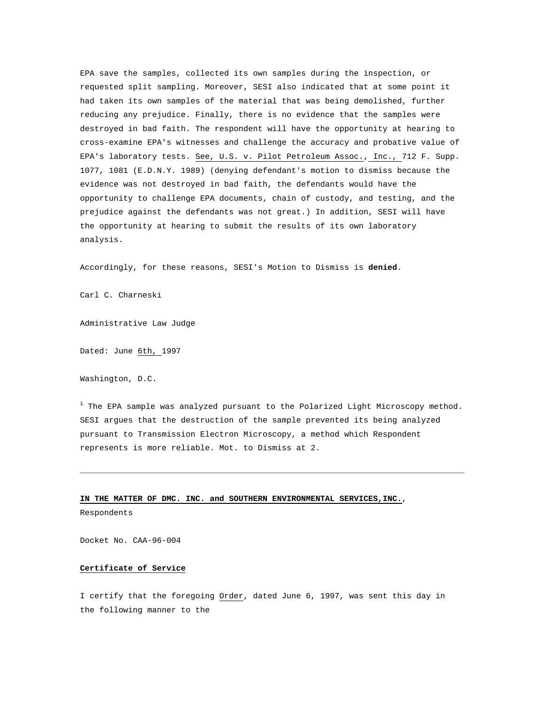EPA save the samples, collected its own samples during the inspection, or requested split sampling. Moreover, SESI also indicated that at some point it had taken its own samples of the material that was being demolished, further reducing any prejudice. Finally, there is no evidence that the samples were destroyed in bad faith. The respondent will have the opportunity at hearing to cross-examine EPA's witnesses and challenge the accuracy and probative value of EPA's laboratory tests. See, U.S. v. Pilot Petroleum Assoc., Inc., 712 F. Supp. 1077, 1081 (E.D.N.Y. 1989) (denying defendant's motion to dismiss because the evidence was not destroyed in bad faith, the defendants would have the opportunity to challenge EPA documents, chain of custody, and testing, and the prejudice against the defendants was not great.) In addition, SESI will have the opportunity at hearing to submit the results of its own laboratory analysis.

Accordingly, for these reasons, SESI's Motion to Dismiss is **denied**.

Carl C. Charneski

Administrative Law Judge

Dated: June 6th, 1997

Washington, D.C.

 $^{\rm 1}$  The EPA sample was analyzed pursuant to the Polarized Light Microscopy method. SESI argues that the destruction of the sample prevented its being analyzed pursuant to Transmission Electron Microscopy, a method which Respondent represents is more reliable. Mot. to Dismiss at 2.

#### **IN THE MATTER OF DMC. INC. and SOUTHERN ENVIRONMENTAL SERVICES,INC.**,

Respondents

Docket No. CAA-96-004

### **Certificate of Service**

I certify that the foregoing Order, dated June 6, 1997, was sent this day in the following manner to the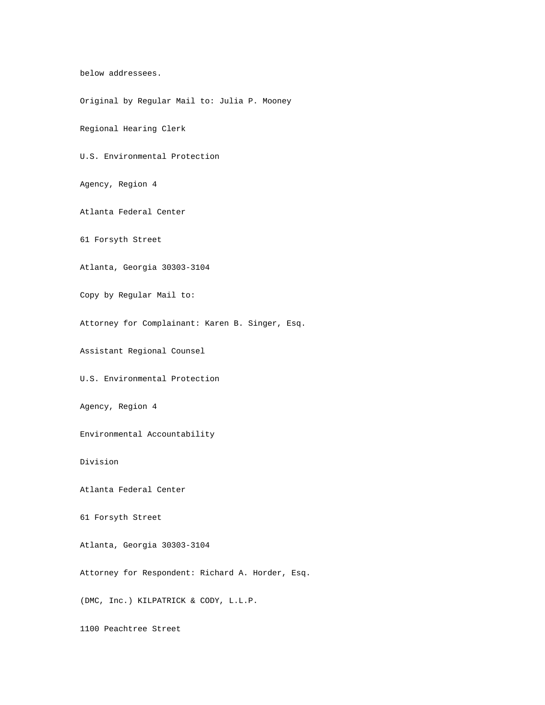below addressees.

Original by Regular Mail to: Julia P. Mooney

Regional Hearing Clerk

U.S. Environmental Protection

Agency, Region 4

Atlanta Federal Center

61 Forsyth Street

Atlanta, Georgia 30303-3104

Copy by Regular Mail to:

Attorney for Complainant: Karen B. Singer, Esq.

Assistant Regional Counsel

U.S. Environmental Protection

Agency, Region 4

Environmental Accountability

Division

Atlanta Federal Center

61 Forsyth Street

Atlanta, Georgia 30303-3104

Attorney for Respondent: Richard A. Horder, Esq.

(DMC, Inc.) KILPATRICK & CODY, L.L.P.

1100 Peachtree Street